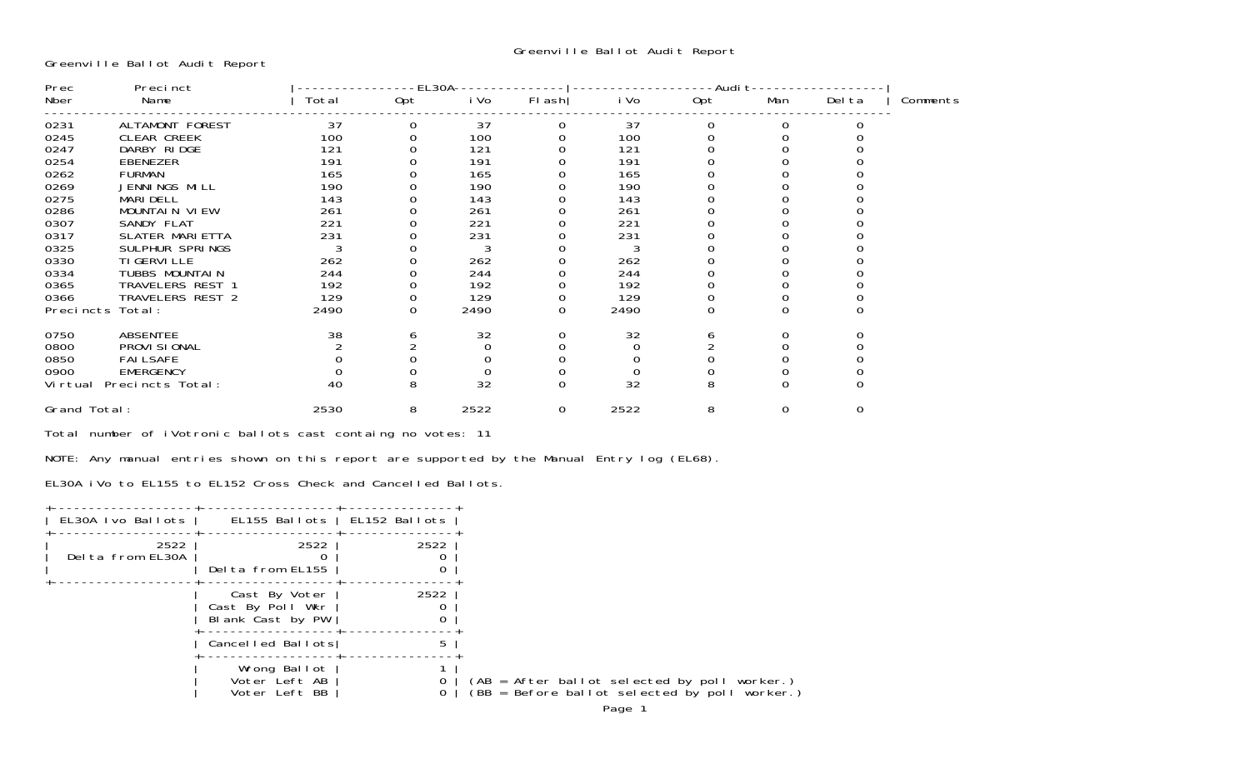Greenville Ballot Audit Report

| Precinct<br>Prec |                          |       | EL30A- |      |          |      |               |     |        |          |
|------------------|--------------------------|-------|--------|------|----------|------|---------------|-----|--------|----------|
| Nber             | Name                     | Total | Opt    | i Vo | FI ash   | i Vo | Audi t<br>Opt | Man | Del ta | Comments |
| 0231             | ALTAMONT FOREST          | 37    |        | 37   | 0        | 37   | 0             |     |        |          |
| 0245             | <b>CLEAR CREEK</b>       | 100   |        | 100  |          | 100  |               |     |        |          |
| 0247             | DARBY RIDGE              | 121   |        | 121  |          | 121  |               |     |        |          |
| 0254             | EBENEZER                 | 191   |        | 191  |          | 191  |               |     |        |          |
| 0262             | <b>FURMAN</b>            | 165   |        | 165  |          | 165  |               |     |        |          |
| 0269             | JENNINGS MILL            | 190   |        | 190  |          | 190  |               |     |        |          |
| 0275             | <b>MARI DELL</b>         | 143   |        | 143  |          | 143  |               |     |        |          |
| 0286             | MOUNTAIN VIEW            | 261   |        | 261  |          | 261  |               |     |        |          |
| 0307             | SANDY FLAT               | 221   |        | 221  |          | 221  |               |     |        |          |
| 0317             | <b>SLATER MARI ETTA</b>  | 231   |        | 231  |          | 231  |               |     |        |          |
| 0325             | SULPHUR SPRINGS          |       |        |      |          |      |               |     |        |          |
| 0330             | TI GERVI LLE             | 262   |        | 262  |          | 262  |               |     |        |          |
| 0334             | TUBBS MOUNTAIN           | 244   |        | 244  |          | 244  |               |     |        |          |
| 0365             | TRAVELERS REST 1         | 192   |        | 192  |          | 192  |               |     |        |          |
| 0366             | TRAVELERS REST 2         | 129   |        | 129  |          | 129  |               |     |        |          |
| Precincts        | Total:                   | 2490  |        | 2490 |          | 2490 |               |     |        |          |
| 0750             | ABSENTEE                 | 38    | ь      | 32   |          | 32   | O             |     |        |          |
| 0800             | PROVI SI ONAL            |       |        |      |          |      |               |     |        |          |
| 0850             | <b>FAILSAFE</b>          |       |        |      |          |      |               |     |        |          |
| 0900             | <b>EMERGENCY</b>         |       |        |      |          |      |               |     |        |          |
|                  | Virtual Precincts Total: | 40    | 8      | 32   | $\Omega$ | 32   | 8             |     |        |          |
| Grand Total:     |                          | 2530  | 8      | 2522 | 0        | 2522 | 8             |     |        |          |

Total number of iVotronic ballots cast containg no votes: 11

NOTE: Any manual entries shown on this report are supported by the Manual Entry log (EL68).

EL30A iVo to EL155 to EL152 Cross Check and Cancelled Ballots.

| EL30A Ivo Ballots        |                                                       | EL155 Ballots   EL152 Ballots |
|--------------------------|-------------------------------------------------------|-------------------------------|
| 2522<br>Delta from EL30A | 2522<br>Delta from EL155                              | 2522                          |
|                          | Cast By Voter<br>Cast By Poll Wkr<br>Blank Cast by PW | 2522                          |
|                          | Cancelled Ballots                                     | 5                             |
|                          | Wrong Ballot<br>Voter Left AB<br>Voter Left BB        |                               |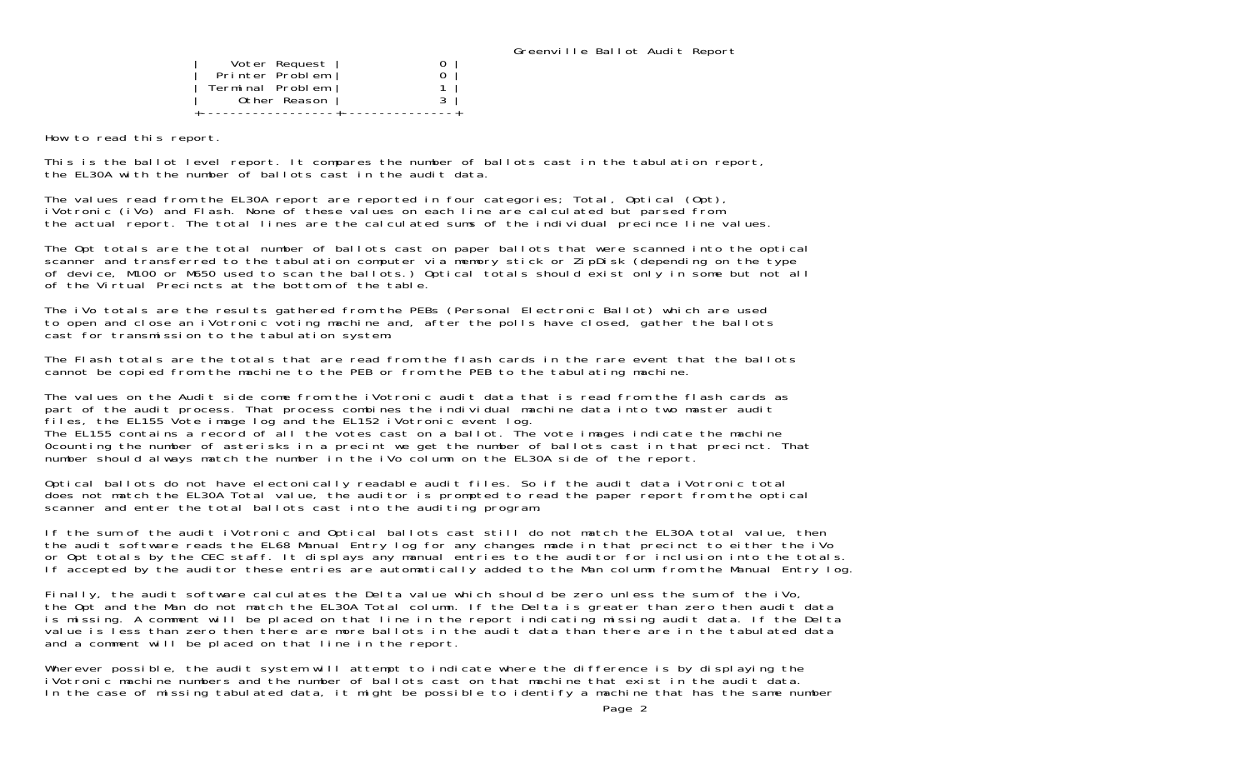| Voter Request    |  |
|------------------|--|
| Printer Problem  |  |
| Terminal Problem |  |
| Other Reason     |  |
|                  |  |

How to read this report.

This is the ballot level report. It compares the number of ballots cast in the tabulation report, the EL30A with the number of ballots cast in the audit data.

The values read from the EL30A report are reported in four categories; Total, Optical (Opt), iVotronic (iVo) and Flash. None of these values on each line are calculated but parsed from the actual report. The total lines are the calculated sums of the individual precince line values.

The Opt totals are the total number of ballots cast on paper ballots that were scanned into the optical scanner and transferred to the tabulation computer via memory stick or ZipDisk (depending on the type of device, M100 or M650 used to scan the ballots.) Optical totals should exist only in some but not all of the Virtual Precincts at the bottom of the table.

The iVo totals are the results gathered from the PEBs (Personal Electronic Ballot) which are used to open and close an iVotronic voting machine and, after the polls have closed, gather the ballots cast for transmission to the tabulation system.

The Flash totals are the totals that are read from the flash cards in the rare event that the ballots cannot be copied from the machine to the PEB or from the PEB to the tabulating machine.

The values on the Audit side come from the iVotronic audit data that is read from the flash cards as part of the audit process. That process combines the individual machine data into two master audit files, the EL155 Vote image log and the EL152 iVotronic event log. The EL155 contains a record of all the votes cast on a ballot. The vote images indicate the machine 0counting the number of asterisks in a precint we get the number of ballots cast in that precinct. That number should always match the number in the iVo column on the EL30A side of the report.

Optical ballots do not have electonically readable audit files. So if the audit data iVotronic total does not match the EL30A Total value, the auditor is prompted to read the paper report from the optical scanner and enter the total ballots cast into the auditing program.

If the sum of the audit iVotronic and Optical ballots cast still do not match the EL30A total value, then the audit software reads the EL68 Manual Entry log for any changes made in that precinct to either the iVo or Opt totals by the CEC staff. It displays any manual entries to the auditor for inclusion into the totals. If accepted by the auditor these entries are automatically added to the Man column from the Manual Entry log.

Finally, the audit software calculates the Delta value which should be zero unless the sum of the iVo, the Opt and the Man do not match the EL30A Total column. If the Delta is greater than zero then audit data is missing. A comment will be placed on that line in the report indicating missing audit data. If the Delta value is less than zero then there are more ballots in the audit data than there are in the tabulated data and a comment will be placed on that line in the report.

Wherever possible, the audit system will attempt to indicate where the difference is by displaying the iVotronic machine numbers and the number of ballots cast on that machine that exist in the audit data. In the case of missing tabulated data, it might be possible to identify a machine that has the same number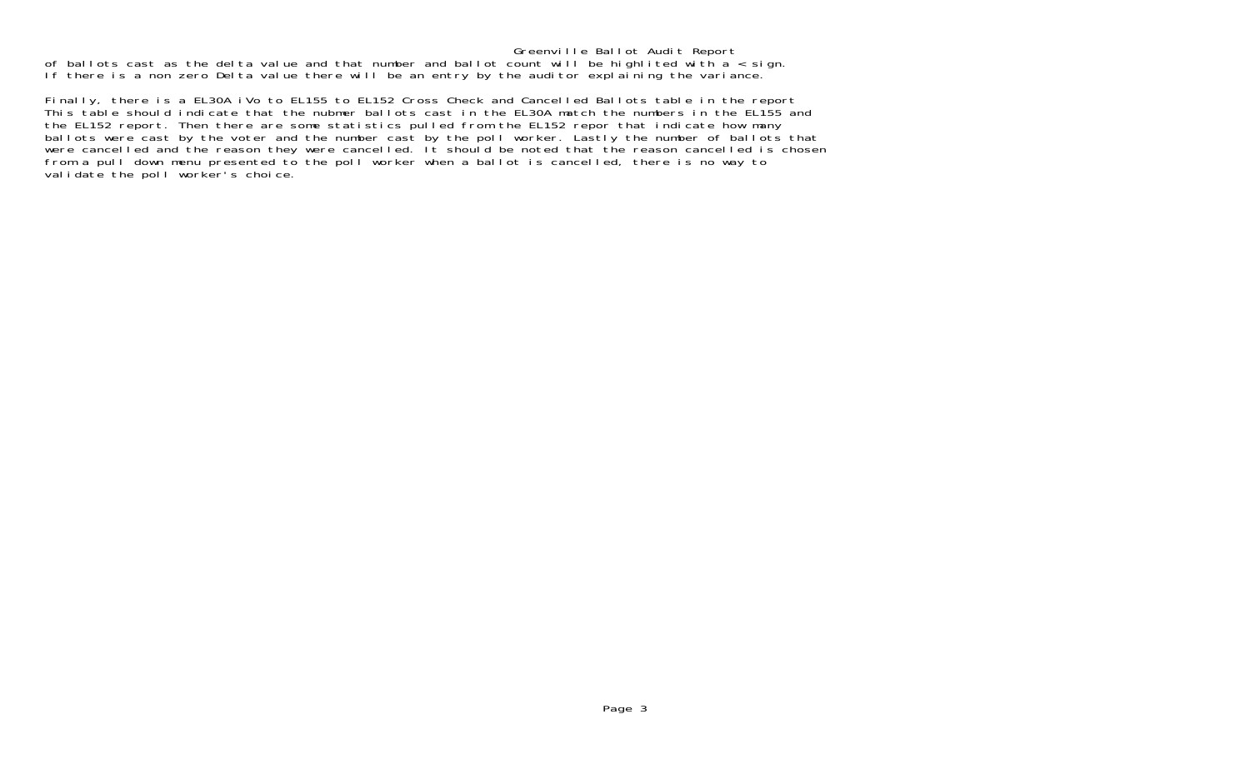Greenville Ballot Audit Report of ballots cast as the delta value and that number and ballot count will be highlited with a < sign. If there is a non zero Delta value there will be an entry by the auditor explaining the variance.

Finally, there is a EL30A iVo to EL155 to EL152 Cross Check and Cancelled Ballots table in the report This table should indicate that the nubmer ballots cast in the EL30A match the numbers in the EL155 and the EL152 report. Then there are some statistics pulled from the EL152 repor that indicate how many ballots were cast by the voter and the number cast by the poll worker. Lastly the number of ballots that were cancelled and the reason they were cancelled. It should be noted that the reason cancelled is chosen from a pull down menu presented to the poll worker when a ballot is cancelled, there is no way to validate the poll worker's choice.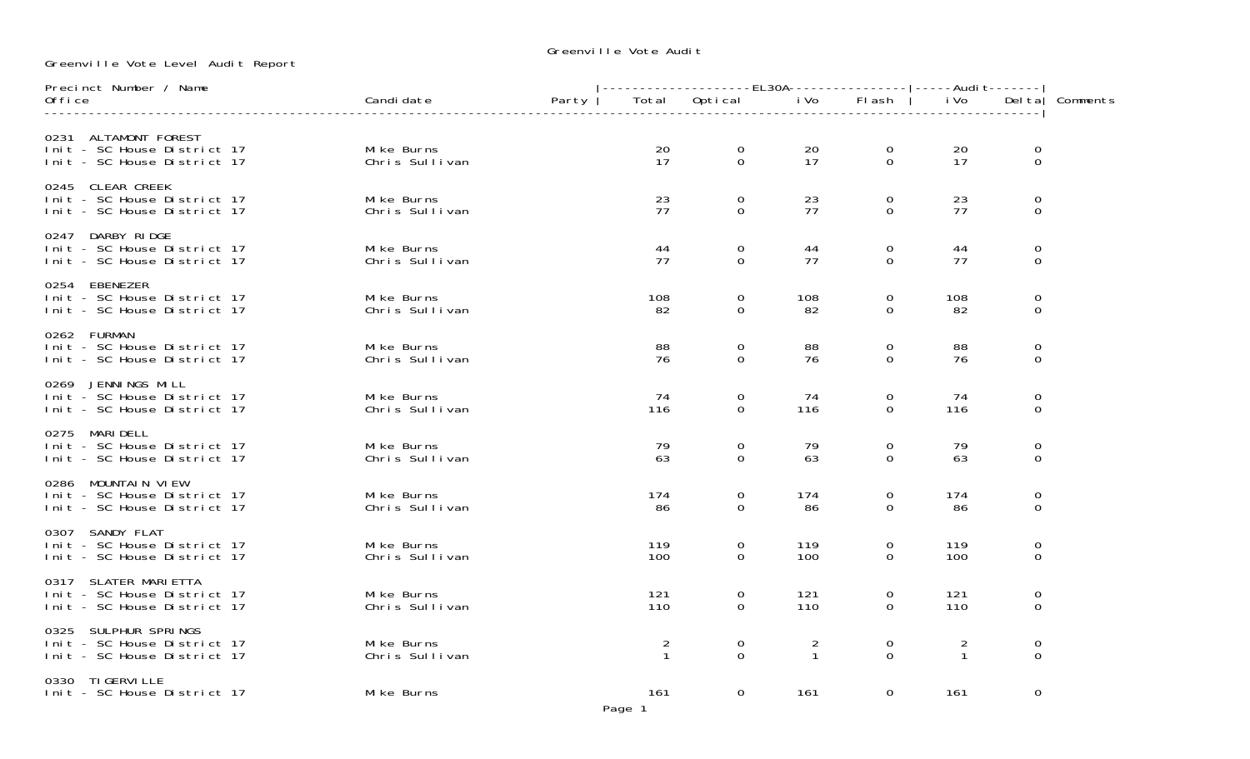Greenville Vote Audit

Greenville Vote Level Audit Report

| Precinct Number / Name                                                              |                               |       |                                |                            |                                |               |                                |                                     |          |  |
|-------------------------------------------------------------------------------------|-------------------------------|-------|--------------------------------|----------------------------|--------------------------------|---------------|--------------------------------|-------------------------------------|----------|--|
| 0ffice                                                                              | Candi date                    | Party | Total                          | Optical                    | i Vo                           | Flash         | i Vo                           | Del tal                             | Comments |  |
| 0231 ALTAMONT FOREST<br>Init - SC House District 17<br>Init - SC House District 17  | Mike Burns<br>Chris Sullivan  |       | 20<br>17                       | $\overline{0}$<br>$\Omega$ | 20<br>17                       | 0<br>$\Omega$ | 20<br>17                       | 0<br>$\mathbf 0$                    |          |  |
| 0245 CLEAR CREEK<br>Init - SC House District 17<br>Init - SC House District 17      | Mi ke Burns<br>Chris Sullivan |       | 23<br>77                       | $\Omega$<br>$\Omega$       | 23<br>77                       | 0<br>$\Omega$ | 23<br>77                       | 0<br>0                              |          |  |
| 0247 DARBY RIDGE<br>Init - SC House District 17<br>Init - SC House District 17      | Mi ke Burns<br>Chris Sullivan |       | 44<br>77                       | 0<br>$\Omega$              | 44<br>77                       | 0<br>0        | 44<br>77                       | 0<br>0                              |          |  |
| 0254 EBENEZER<br>Init - SC House District 17<br>Init - SC House District 17         | Mi ke Burns<br>Chris Sullivan |       | 108<br>82                      | $\mathbf 0$<br>$\Omega$    | 108<br>82                      | 0<br>$\Omega$ | 108<br>82                      | 0<br>0                              |          |  |
| 0262 FURMAN<br>Init - SC House District 17<br>Init - SC House District 17           | Mi ke Burns<br>Chris Sullivan |       | 88<br>76                       | $\Omega$<br>$\Omega$       | 88<br>76                       | 0<br>$\Omega$ | 88<br>76                       | 0<br>0                              |          |  |
| 0269 JENNINGS MILL<br>Init - SC House District 17<br>Init - SC House District 17    | Mi ke Burns<br>Chris Sullivan |       | 74<br>116                      | $\mathbf 0$<br>$\Omega$    | 74<br>116                      | 0<br>$\Omega$ | 74<br>116                      | 0<br>0                              |          |  |
| 0275 MARI DELL<br>Init - SC House District 17<br>Init - SC House District 17        | Mi ke Burns<br>Chris Sullivan |       | 79<br>63                       | $\overline{0}$<br>$\Omega$ | 79<br>63                       | 0<br>$\Omega$ | 79<br>63                       | 0<br>$\mathbf 0$                    |          |  |
| 0286 MOUNTAIN VIEW<br>Init - SC House District 17<br>Init - SC House District 17    | Mi ke Burns<br>Chris Sullivan |       | 174<br>86                      | $\mathbf 0$<br>$\Omega$    | 174<br>86                      | 0<br>$\Omega$ | 174<br>86                      | 0<br>$\mathbf 0$                    |          |  |
| 0307 SANDY FLAT<br>Init - SC House District 17<br>Init - SC House District 17       | Mi ke Burns<br>Chris Sullivan |       | 119<br>100                     | 0<br>$\Omega$              | 119<br>100                     | 0<br>$\Omega$ | 119<br>100                     | 0<br>$\Omega$                       |          |  |
| 0317 SLATER MARI ETTA<br>Init - SC House District 17<br>Init - SC House District 17 | Mi ke Burns<br>Chris Sullivan |       | 121<br>110                     | 0<br>$\Omega$              | 121<br>110                     | 0<br>$\Omega$ | 121<br>110                     | $\mathbf 0$<br>$\mathbf 0$          |          |  |
| 0325 SULPHUR SPRINGS<br>Init - SC House District 17<br>Init - SC House District 17  | Mi ke Burns<br>Chris Sullivan |       | $\overline{2}$<br>$\mathbf{1}$ | $\mathbf 0$<br>$\Omega$    | $\overline{a}$<br>$\mathbf{1}$ | 0<br>$\Omega$ | $\overline{2}$<br>$\mathbf{1}$ | $\mathsf{O}\xspace$<br>$\mathbf{0}$ |          |  |
| 0330 TI GERVI LLE<br>Init - SC House District 17                                    | Mike Burns                    |       | 161                            | $\mathbf{O}$               | 161                            | 0             | 161                            | 0                                   |          |  |

Page 1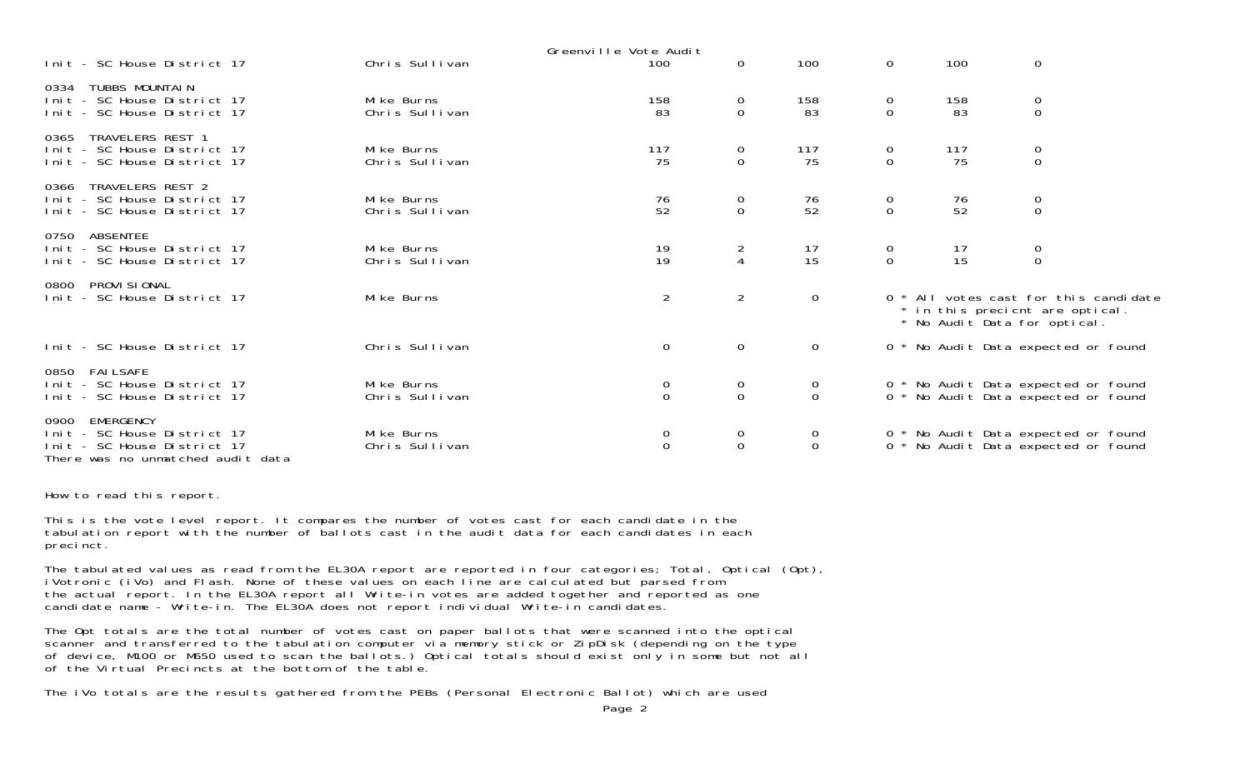|                                                                                                                           |                               | Greenville Vote Audit                   |                                      |                                  |                                      |           |                                                                                                          |  |
|---------------------------------------------------------------------------------------------------------------------------|-------------------------------|-----------------------------------------|--------------------------------------|----------------------------------|--------------------------------------|-----------|----------------------------------------------------------------------------------------------------------|--|
| Init - SC House District 17                                                                                               | Chris Sullivan                | 100                                     | $\Omega$                             | 100                              | $\Omega$                             | 100       | $\mathbf 0$                                                                                              |  |
| TUBBS MOUNTAIN<br>0334<br>Init - SC House District 17<br>Init - SC House District 17                                      | Mi ke Burns<br>Chris Sullivan | 158<br>83                               | 0<br>0                               | 158<br>83                        | $\overline{0}$<br>0                  | 158<br>83 | $\mathbf 0$<br>$\mathbf 0$                                                                               |  |
| TRAVELERS REST 1<br>0365<br>Init - SC House District 17<br>Init - SC House District 17                                    | Mike Burns<br>Chris Sullivan  | 117<br>75                               | 0<br>$\mathbf 0$                     | 117<br>75                        | $\overline{0}$<br>$\mathbf 0$        | 117<br>75 | $\begin{matrix} 0 \\ 0 \end{matrix}$                                                                     |  |
| TRAVELERS REST 2<br>0366<br>Init - SC House District 17<br>Init - SC House District 17                                    | Mike Burns<br>Chris Sullivan  | 76<br>52                                | $\begin{matrix} 0 \\ 0 \end{matrix}$ | $\frac{76}{52}$                  | $\begin{matrix} 0 \\ 0 \end{matrix}$ | 76<br>52  | $\begin{matrix} 0 \\ 0 \end{matrix}$                                                                     |  |
| ABSENTEE<br>0750<br>Init - SC House District 17<br>Init - SC House District 17                                            | Mike Burns<br>Chris Sullivan  | $\begin{array}{c} 19 \\ 19 \end{array}$ | $\frac{2}{4}$                        | $\frac{17}{15}$                  | $\begin{matrix} 0 \\ 0 \end{matrix}$ | 17<br>15  | $\begin{matrix} 0 \\ 0 \end{matrix}$                                                                     |  |
| PROVI SI ONAL<br>0800<br>Init - SC House District 17                                                                      | Mi ke Burns                   | $\overline{2}$                          | $2^{\circ}$                          | $\overline{0}$                   |                                      |           | 0 * All votes cast for this candidate<br>* in this precient are optical.<br>* No Audit Data for optical. |  |
| Init - SC House District 17                                                                                               | Chris Sullivan                | $\mathbf 0$                             | $\overline{0}$                       | $\mathbf{0}$                     |                                      |           | 0 * No Audit Data expected or found                                                                      |  |
| 0850 FAILSAFE<br>Init - SC House District 17<br>Init - SC House District 17                                               | Mike Burns<br>Chris Sullivan  | 0<br>$\mathbf 0$                        | $\overline{0}$<br>$\overline{0}$     | $\overline{O}$<br>$\overline{0}$ |                                      |           | 0 * No Audit Data expected or found<br>0 * No Audit Data expected or found                               |  |
| EMERGENCY<br>0900<br>Init - SC House District 17<br>- SC House District 17<br>l ni t<br>There was no unmatched audit data | Mike Burns<br>Chris Sullivan  | $\sigma$<br>$\mathbf 0$                 | $\mathbf{0}$<br>$\mathbf 0$          | $\overline{O}$<br>$\mathbf 0$    |                                      |           | 0 * No Audit Data expected or found<br>0 * No Audit Data expected or found                               |  |

How to read this report.

This is the vote level report. It compares the number of votes cast for each candidate in the tabulation report with the number of ballots cast in the audit data for each candidates in each precinct.

The tabulated values as read from the EL30A report are reported in four categories; Total, Optical (Opt), iVotronic (iVo) and Flash. None of these values on each line are calculated but parsed from the actual report. In the EL30A report all Write-in votes are added together and reported as one candidate name - Write-in. The EL30A does not report individual Write-in candidates.

The Opt totals are the total number of votes cast on paper ballots that were scanned into the optical scanner and transferred to the tabulation computer via memory stick or ZipDisk (depending on the type of device, M100 or M650 used to scan the ballots.) Optical totals should exist only in some but not all of the Virtual Precincts at the bottom of the table.

The iVo totals are the results gathered from the PEBs (Personal Electronic Ballot) which are used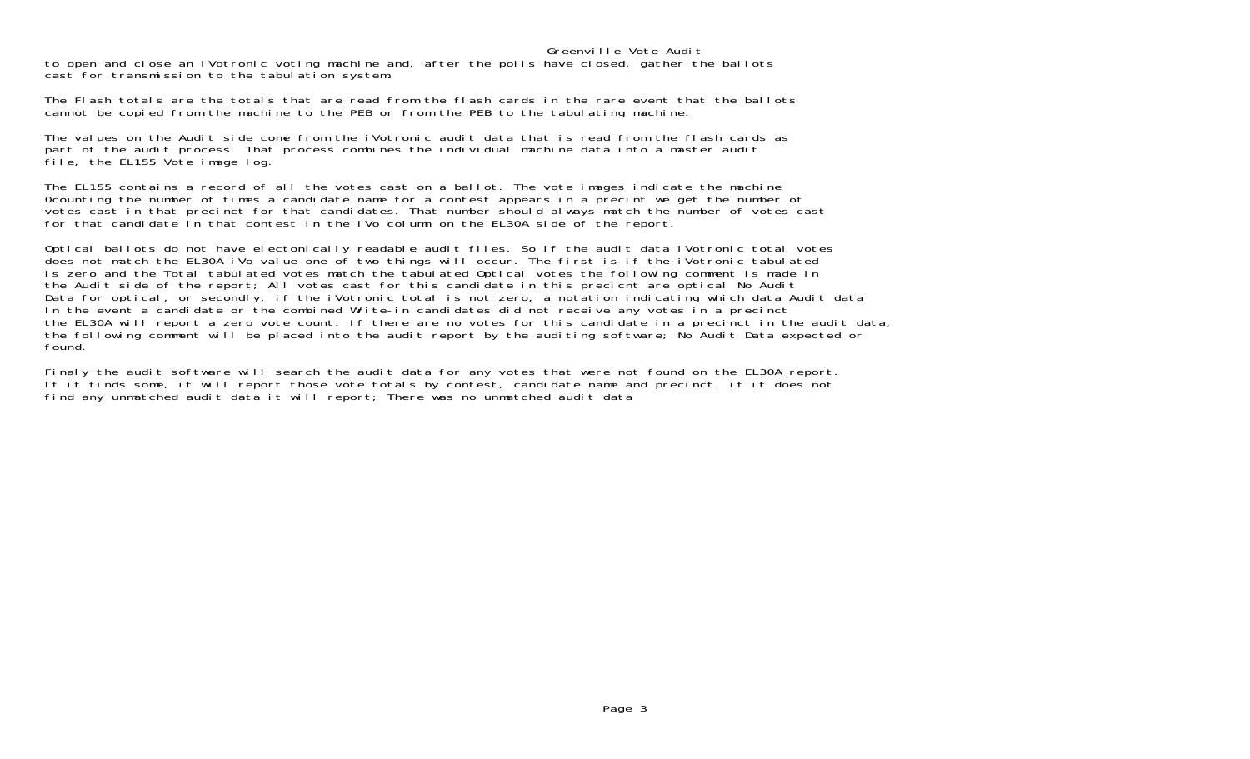## Greenville Vote Audit

 to open and close an iVotronic voting machine and, after the polls have closed, gather the ballots cast for transmission to the tabulation system.

The Flash totals are the totals that are read from the flash cards in the rare event that the ballotscannot be copied from the machine to the PEB or from the PEB to the tabulating machine.

The values on the Audit side come from the iVotronic audit data that is read from the flash cards as part of the audit process. That process combines the individual machine data into a master audit file, the EL155 Vote image log.

The EL155 contains a record of all the votes cast on a ballot. The vote images indicate the machine 0counting the number of times a candidate name for a contest appears in a precint we get the number of votes cast in that precinct for that candidates. That number should always match the number of votes cast for that candidate in that contest in the iVo column on the EL30A side of the report.

Optical ballots do not have electonically readable audit files. So if the audit data iVotronic total votes does not match the EL30A iVo value one of two things will occur. The first is if the iVotronic tabulated is zero and the Total tabulated votes match the tabulated Optical votes the following comment is made in the Audit side of the report; All votes cast for this candidate in this precicnt are optical No Audit Data for optical, or secondly, if the iVotronic total is not zero, a notation indicating which data Audit data In the event a candidate or the combined Write-in candidates did not receive any votes in a precinct the EL30A will report a zero vote count. If there are no votes for this candidate in a precinct in the audit data, the following comment will be placed into the audit report by the auditing software; No Audit Data expected or found.

Finaly the audit software will search the audit data for any votes that were not found on the EL30A report. If it finds some, it will report those vote totals by contest, candidate name and precinct. if it does not find any unmatched audit data it will report; There was no unmatched audit data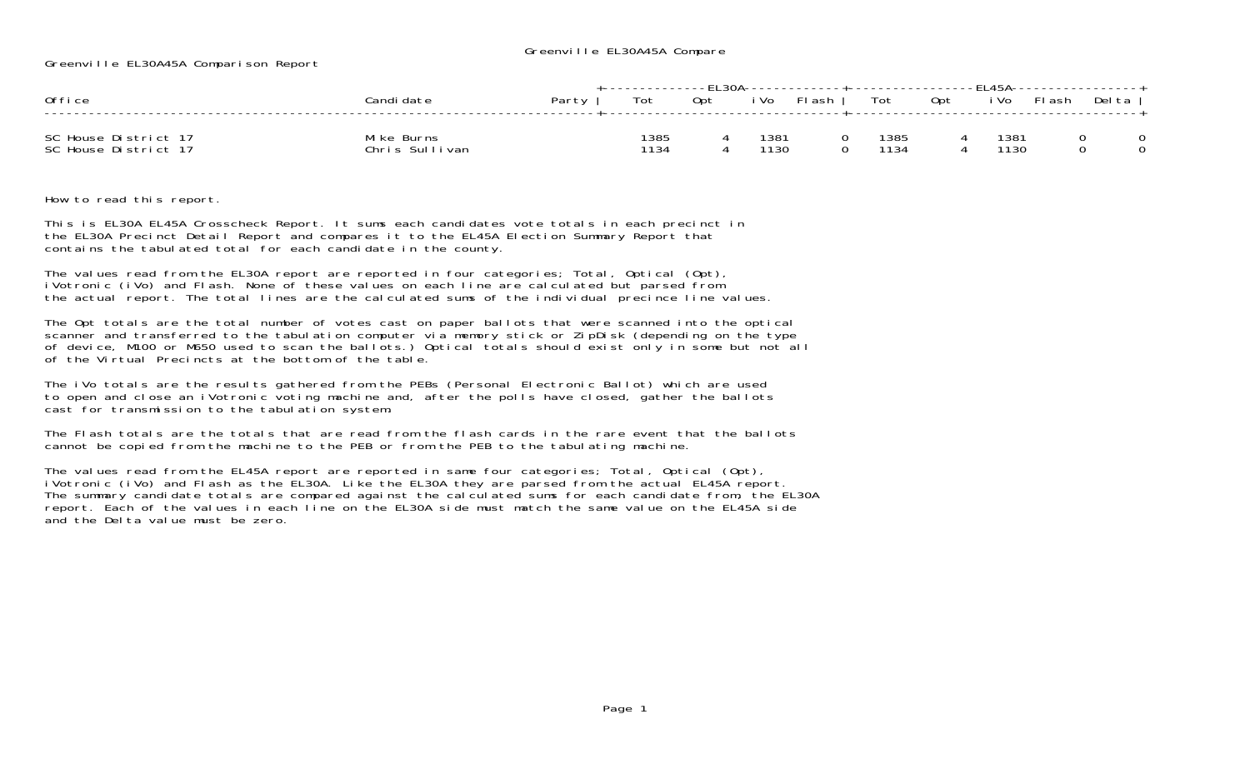## Greenville EL30A45A Compare

Greenville EL30A45A Comparison Report

| Office                                       | Candi date                   | Party I | +-------------FL30A-------------+------------------FL45A-----------------+<br>Tot | Opt |              | iVo Flash | $\cdots$ Tot $\cdots$ | Opt |              | iVo Flash | Delta |  |
|----------------------------------------------|------------------------------|---------|-----------------------------------------------------------------------------------|-----|--------------|-----------|-----------------------|-----|--------------|-----------|-------|--|
| SC House District 17<br>SC House District 17 | Mike Burns<br>Chris Sullivan |         | 1385<br>1134                                                                      |     | 1381<br>1130 |           | 1385<br>1134          |     | 1381<br>1130 |           |       |  |

How to read this report.

This is EL30A EL45A Crosscheck Report. It sums each candidates vote totals in each precinct in the EL30A Precinct Detail Report and compares it to the EL45A Election Summary Report that contains the tabulated total for each candidate in the county.

The values read from the EL30A report are reported in four categories; Total, Optical (Opt), iVotronic (iVo) and Flash. None of these values on each line are calculated but parsed from the actual report. The total lines are the calculated sums of the individual precince line values.

The Opt totals are the total number of votes cast on paper ballots that were scanned into the optical scanner and transferred to the tabulation computer via memory stick or ZipDisk (depending on the type of device, M100 or M650 used to scan the ballots.) Optical totals should exist only in some but not all of the Virtual Precincts at the bottom of the table.

The iVo totals are the results gathered from the PEBs (Personal Electronic Ballot) which are used to open and close an iVotronic voting machine and, after the polls have closed, gather the ballots cast for transmission to the tabulation system.

The Flash totals are the totals that are read from the flash cards in the rare event that the ballotscannot be copied from the machine to the PEB or from the PEB to the tabulating machine.

The values read from the EL45A report are reported in same four categories; Total, Optical (Opt), iVotronic (iVo) and Flash as the EL30A. Like the EL30A they are parsed from the actual EL45A report. The summary candidate totals are compared against the calculated sums for each candidate from, the EL30A report. Each of the values in each line on the EL30A side must match the same value on the EL45A side and the Delta value must be zero.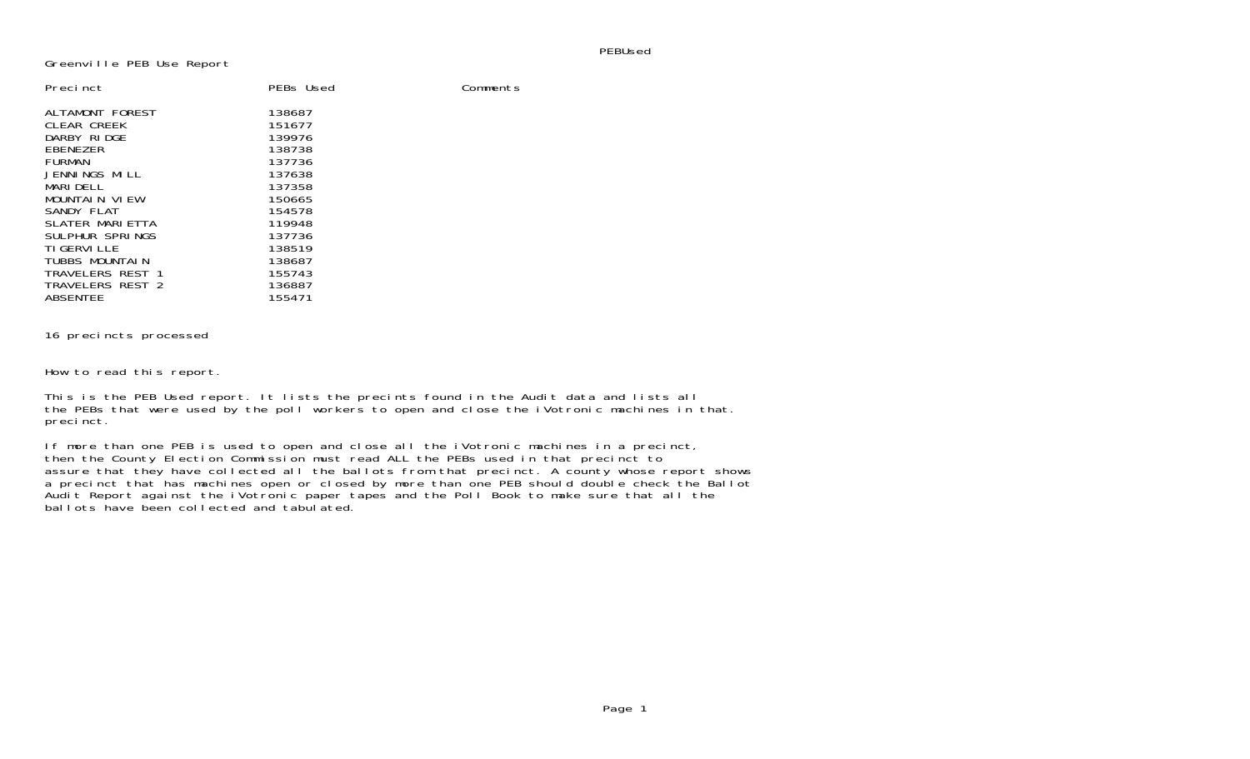PEBUsed

Comments

Greenville PEB Use Report

| Precinct          | PEBs Used |
|-------------------|-----------|
| ALTAMONT FOREST   | 138687    |
| CLEAR CREEK       | 151677    |
| DARBY RIDGE       | 139976    |
| EBENEZER          | 138738    |
| <b>FURMAN</b>     | 137736    |
| JENNINGS MILL     | 137638    |
| MARI DEL L        | 137358    |
| MOUNTAIN VIEW     | 150665    |
| SANDY FLAT        | 154578    |
| SLATER MARLETTA   | 119948    |
| SUI PHUR SPRINGS  | 137736    |
| <b>TIGERVILLE</b> | 138519    |
| TUBBS MOUNTALN    | 138687    |
| TRAVELERS REST 1  | 155743    |
| TRAVELERS REST 2  | 136887    |
| <b>ABSENTEE</b>   | 155471    |

## 16 precincts processed

How to read this report.

This is the PEB Used report. It lists the precints found in the Audit data and lists all the PEBs that were used by the poll workers to open and close the iVotronic machines in that. precinct.

If more than one PEB is used to open and close all the iVotronic machines in a precinct, then the County Election Commission must read ALL the PEBs used in that precinct to assure that they have collected all the ballots from that precinct. A county whose report shows a precinct that has machines open or closed by more than one PEB should double check the Ballot Audit Report against the iVotronic paper tapes and the Poll Book to make sure that all the ballots have been collected and tabulated.